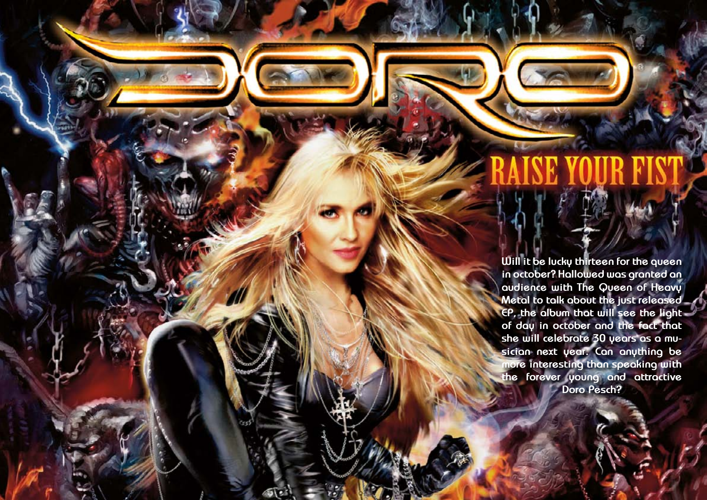Hallowed PDF-article Design by Daniel Källmalm

 $H$ Design by Daniel Källmalm

**Will it be lucky thirteen for the queen in october? Hallowed was granted an audience with The Queen of Heavy Metal to talk about the just released EP, the album that will see the light of day in october and the fact that she will celebrate 30 years as a musician next year. Can anything be more interesting than speaking with the forever young and attractive Doro Pesch?**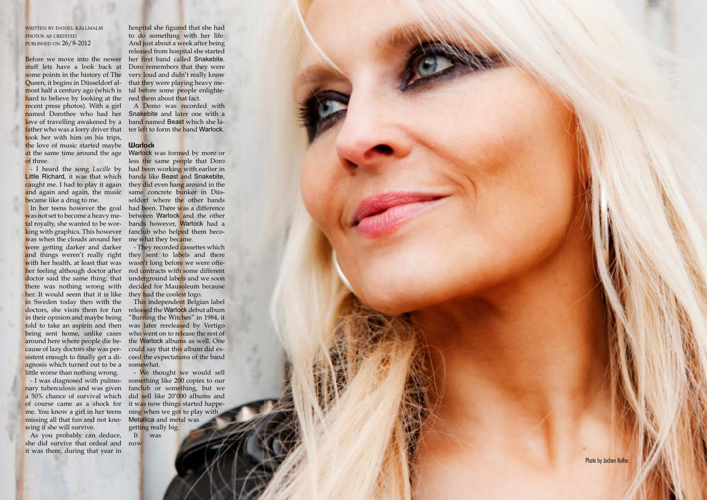$H$ Design by Daniel Källmalm

written by daniel källmalm PHOTOS AS CREDITED published on 26/8-2012

Little Richard, it was that which and again and again, the music became like a drug to me.

Before we move into the newer stuff lets have a look back at some points in the history of The Queen, it begins in Düsseldorf alhard to believe by looking at the ned them about that fact. recent press photos). With a girl father who was a lorry driver that ter left to form the band Warlock. took her with him on his trips, the love of music started maybe at the same time around the age of three.

was not set to become a heavy meking with graphics. This however was when the clouds around her were getting darker and darker and things weren't really right with her health, at least that was her feeling although doctor after doctor said the same thing: that there was nothing wrong with her. It would seem that it is like in Sweden today then with the doctors, she visits them for fun in their opinion and maybe being told to take an aspirin and then being sent home, unlike cases around here where people die because of lazy doctors she was peragnosis which turned out to be a little worse than nothing wrong.

most half a century ago (which is tal before some people enlightehospital she figured that she had to do something with her life. And just about a week after being released from hospital she started her first band called Snakebite. Doro remembers that they were very loud and didn't really know that they were playing heavy me -

named Dorothee who had her Snakebite and later one with a love of travelling awakened by a hand named Beast which she la-A Demo was recorded with

sistent enough to finally get a di- ceed the expectations of the band This independent Belgian label released the Warlock debut album "Burning the Witches" in 1984, it was later rereleased by Vertigo who went on to release the rest of the Warlock albums as well. One could say that this album did exsomewhat.

- I was diagnosed with pulmo nary tuberculosis and was given a 50% chance of survival which me. You know a girl in her teens ning when we got to play with missing all that fun and not kno wing if she will survive.

- I heard the song *Lucille* by had been working with earlier in caught me. I had to play it again they did even hang around in the In her teens however the goal had been. There was a difference tal royalty, she wanted to be wor- bands however, Warlock had a Warlock was formed by more or less the same people that Doro bands like Beast and Snakebite, same concrete b<mark>u</mark>nker in Düsseldorf where the other bands between Warlock and the other fanclub who helped them become what they became.

of course came as a shock for it was now things started happe-- We thought we would sell something like 200 copies to our fanclub or something, but we did sell like 20'000 albums and Metallica and metal was getting really big. It was

As you probably can deduce, she did survive that ordeal and now it was there, during that year in

#### **Warlock**

- They recorded cassettes which they sent to labels and there wasn't long before we were offered contracts with some different underground labels and we soon decided for Mausoleum because they had the coolest logo.

Photo by Jochen Rolfes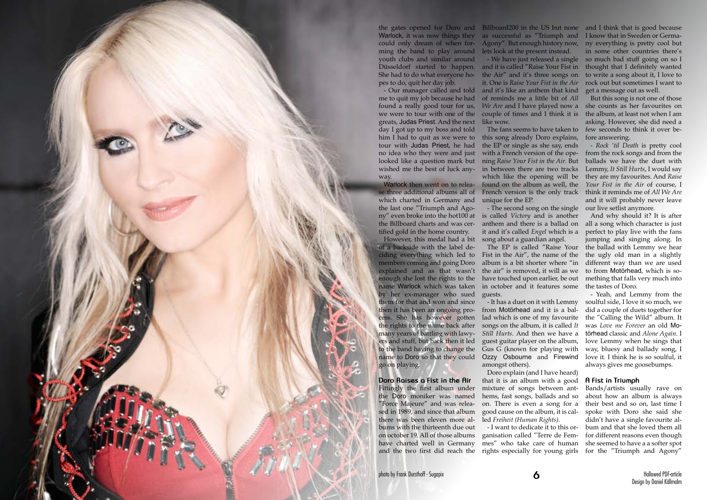the gates opened for Doro and Billboard200 in the US but none and I think that is good because Warlock, it was now things they as successful as "Triumph and Iknow that in Sweden or Germacould only dream of when for-Agony". But enough history now, ny everything is pretty cool but ming the band to play around lets look at the present instead. youth clubs and similar around Düsseldorf started to happen. and it is called "Raise Your Fist in She had to do what everyone ho-the Air" and it's three songs on pes to do, quit her day job.



Warlock then went on to release three additional albums all of which charted in Germany and the last one "Triumph and Agony" even broke into the hot100 at is called *Victory* and is another the Billboard charts and was cer-anthem and there is a ballad on tified gold in the home country.

However, this medal had a bit of a backside with the label deciding everything which led to Fist in the Air", the name of the members coming and going Doro explained and as that wasn't enough she lost the rights to the name Warlock which was taken by her ex-manager who sued them for that and won and since then it has been an ongoing pro-from Motörhead and it is a balcess. She has however gotten lad which is one of my favourite the rights to the name back after many years of battling with lawyers and stuff, but back then it led to the band having to change the name to Doro so that they could Ozzy Osbourne and Firewind go on playing.

- Our manager called and told and it's like an anthem that kind it. One is *Raise Your Fist in the Air*  of reminds me a little bit of *All We Are* and I have played now a

me to quit my job because he had found a really good tour for us, we were to tour with one of the couple of times and I think it is greats, Judas Priest. And the next like wow. day I got up to my boss and told him I had to quit as we were to this song already Doro explains, tour with Judas Priest, he had no idea who they were and just with a French version of the opelooked like a question mark but ning *Raise Your Fist in the Air*. But wished me the best of luck any-in between there are two tracks

**Doro Raises a Fist in the Air**

- We have just released a single so much bad stuff going on so I in some other countries there's thought that I definitely wanted to write a song about it, I love to rock out but sometimes I want to get a message out as well.

The fans seems to have taken to few seconds to think it over be-But this song is not one of those she counts as her favourites on the album, at least not when I am asking. However, she did need a fore answering.

the EP or single as she say, ends which like the opening will be found on the album as well, the French version is the only track unique for the EP.

Fittingly the first album under the Doro moniker was named "Force Majeure" and was released in 1989, and since that album there was been eleven more albums with the thirteenth due out on october 19. All of those albums ganisation called "Terre de Fem-

have charted well in Germany mes" who take care of human and the two first did reach the rights especially for young girls - I want to dedicate it to this or-

- The second song on the single it and it's called *Engel* which is a song about a guardian angel.

The EP is called "Raise Your album is a bit shorter where "in the air" is removed, it will as we have touched upon earlier, be out in october and it features some guests.

- It has a duet on it with Lemmy songs on the album, it is called *It Still Hurts*. And then we have a guest guitar player on the album, Gus G (known for playing with amongst others).

Doro explain (and I have heard) that it is an album with a good mixture of songs between anthems, fast songs, ballads and so on. There is even a song for a good cause on the album, it is called *Freiheit (Human Rights)*.

- *Rock 'til Death* is pretty cool from the rock songs and from the ballads we have the duet with Lemmy, *It Still Hurts*, I would say they are my favourites. And *Raise Your Fist in the Air* of course, I think it reminds me of *All We Are*  and it will probably never leave our live setlist anymore.

And why should it? It is after all a song which character is just perfect to play live with the fans jumping and singing along. In the ballad with Lemmy we hear the ugly old man in a slightly different way than we are used to from Motörhead, which is something that falls very much into the tastes of Doro.

- Yeah, and Lemmy from the soulful side, I love it so much, we did a couple of duets together for the "Calling the Wild" album. It was *Love me Forever* an old Motörhead classic and *Alone Again*. I love Lemmy when he sings that way, bluesy and ballady song, I love it. I think he is so soulful, it always gives me goosebumps.

# **A Fist in Triumph**

Bands/artists usually rave on about how an album is always their best and so on, last time I spoke with Doro she said she didn't have a single favourite album and that she loved them all for different reasons even though she seemed to have a a softer spot for the "Triumph and Agony"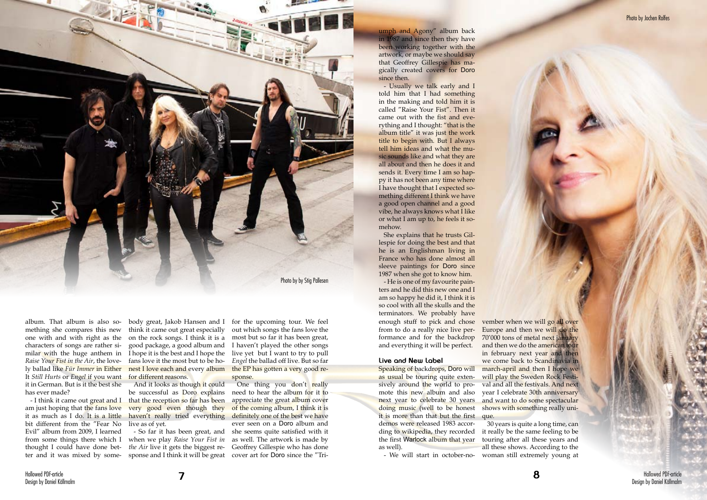album. That album is also something she compares this new one with and with right as the characters of songs are rather similar with the huge anthem in *Raise Your Fist in the Air*, the lovely ballad like *Für Immer* in Either It *Still Hurts* or *Engel* if you want it in German. But is it the best she has ever made?

am just hoping that the fans love very good even though they it as much as I do. It is a little haven't really tried everything bit different from the "Fear No Evil" album from 2009, I learned from some things there which I thought I could have done bet-

- I think it came out great and I that the reception so far has been And it looks as though it could be successful as Doro explains live as of yet.

body great, Jakob Hansen and I think it came out great especially on the rock songs. I think it is a most but so far it has been great, good package, a good album and I hope it is the best and I hope the fans love it the most but to be honest I love each and every album for different reasons.

> One thing you don't really need to hear the album for it to appreciate the great album cover of the coming album, I think it is definitely one of the best we have ever seen on a Doro album and she seems quite satisfied with it as well. The artwork is made by Geoffrey Gillespie who has done cover art for Doro since the "Tri-

ter and it was mixed by some-sponse and I think it will be great - So far it has been great, and when we play *Raise Your Fist in the Air* live it gets the biggest re-

for the upcoming tour. We feel out which songs the fans love the I haven't played the other songs live yet but I want to try to pull *Engel* the ballad off live. But so far the EP has gotten a very good response.

#### **Live and New Label**

enough stuff to pick and chose vember when we will go all over from to do a really nice live performance and for the backdrop and everything it will be perfect. - He is one of my favourite painters and he did this new one and I am so happy he did it, I think it is so cool with all the skulls and the terminators. We probably have

Speaking of backdrops, Doro will as usual be touring quite extensively around the world to promote this new album and also next year to celebrate 30 years and want to do some spectacular doing music (well to be honest shows with something really uniit is more than that but the first que. demos were released 1983 according to wikipedia, they recorded the first Warlock album that year as well).

- We will start in october-no-

Europe and then we will do the 70'000 tons of metal next january and then we do the american tour in february next year and then we come back to Scandinavia in march-april and then I hope we will play the Sweden Rock Festival and all the festivals. And next year I celebrate 30th anniversary

30 years is quite a long time, can it really be the same feeling to be touring after all these years and all these shows. According to the woman still extremely young at



umph and Agony" album back in 1987 and since then they have been working together with the artwork, or maybe we should say that Geoffrey Gillespie has magically created covers for Doro since then.

- Usually we talk early and I told him that I had something in the making and told him it is called "Raise Your Fist". Then it came out with the fist and everything and I thought: "that is the album title" it was just the work title to begin with. But I always tell him ideas and what the music sounds like and what they are all about and then he does it and sends it. Every time I am so happy it has not been any time where I have thought that I expected something different I think we have a good open channel and a good vibe, he always knows what I like or what I am up to, he feels it somehow.

She explains that he trusts Gillespie for doing the best and that he is an Englishman living in France who has done almost all sleeve paintings for Doro since 1987 when she got to know him.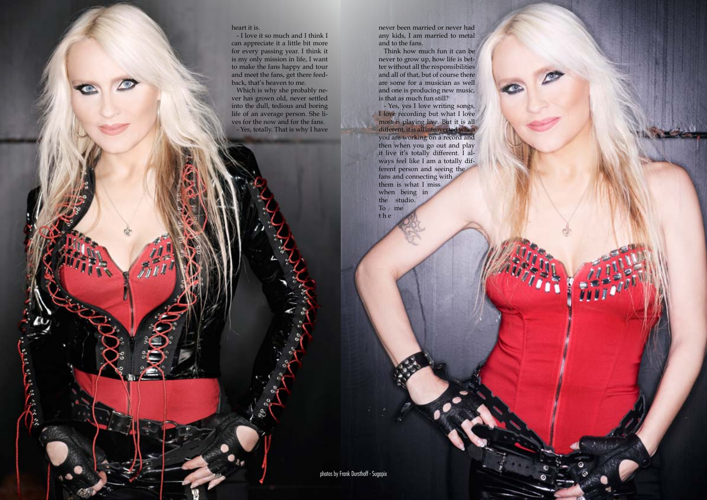Hallowed PDF-article Design by Daniel Källmalm

## heart it is.

- I love it so much and I think I can appreciate it a little bit more for every passing year. I think it is my only mission in life, I want to make the fans happy and tour and meet the fans, get there feedback, that's heaven to me.

Which is why she probably never has grown old, never settled into the dull, tedious and boring life of an average person. She lives for the now and for the fans. - Yes, totally. That is why I have never been married or never had any kids, I am married to metal and to the fans.

Think how much fun it can be never to grow up, how life is better without all the responsibilities and all of that, but of course there are some for a musician as well and one is producing new music, is that as much fun still?

- Yes, yes I love writing songs, I love recording but what I love most is playing live. But it is all different, it is all introverted when you are working on a record and then when you go out and play it live it's totally different. I always feel like I am a totally different person and seeing the fans and connecting with them is what I miss when being in the studio. To me t h e